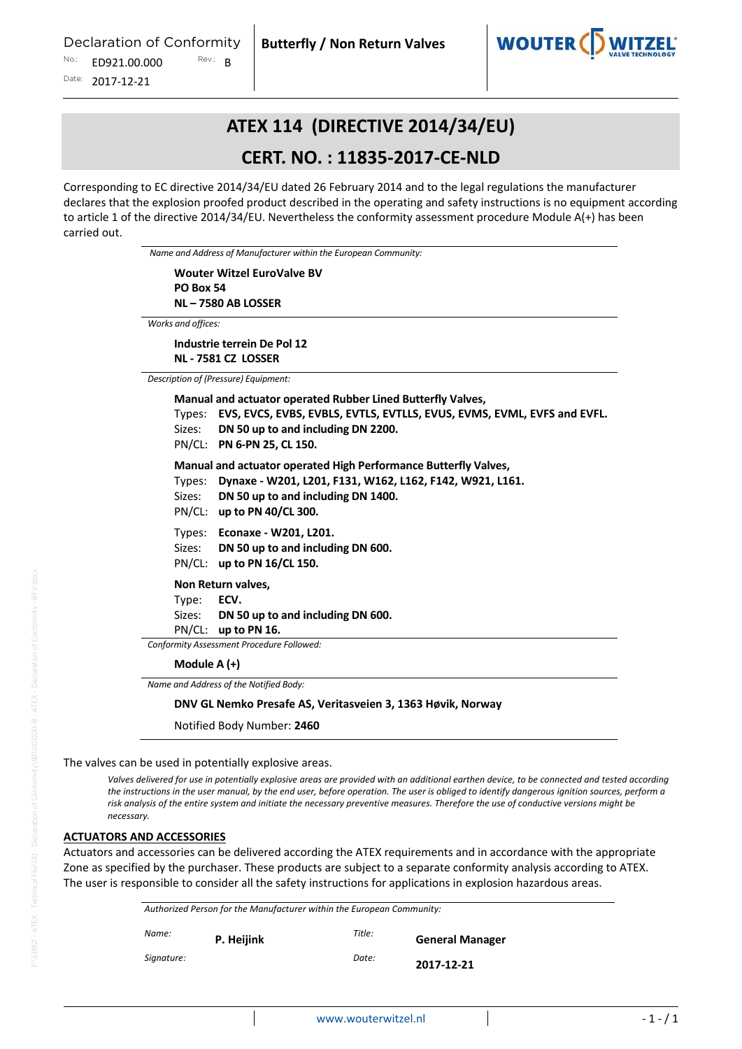

## **ATEX 114 (DIRECTIVE 2014/34/EU)**

## **CERT. NO. : 11835‐2017‐CE‐NLD**

Corresponding to EC directive 2014/34/EU dated 26 February 2014 and to the legal regulations the manufacturer declares that the explosion proofed product described in the operating and safety instructions is no equipment according to article 1 of the directive 2014/34/EU. Nevertheless the conformity assessment procedure Module A(+) has been carried out.

*Name and Address of Manufacturer within the European Community:*

**Wouter Witzel EuroValve BV PO Box 54 NL – 7580 AB LOSSER**

*Works and offices:*

**Industrie terrein De Pol 12 NL ‐ 7581 CZ LOSSER**

*Description of (Pressure) Equipment:*

**Manual and actuator operated Rubber Lined Butterfly Valves,** Types: **EVS, EVCS, EVBS, EVBLS, EVTLS, EVTLLS, EVUS, EVMS, EVML, EVFS and EVFL.**  Sizes: **DN 50 up to and including DN 2200.** PN/CL: **PN 6‐PN 25, CL 150. Manual and actuator operated High Performance Butterfly Valves,** Types: **Dynaxe ‐ W201, L201, F131, W162, L162, F142, W921, L161.**  Sizes: **DN 50 up to and including DN 1400.** PN/CL: **up to PN 40/CL 300.** Types: **Econaxe ‐ W201, L201.**  Sizes: **DN 50 up to and including DN 600.** PN/CL: **up to PN 16/CL 150. Non Return valves,** Type: **ECV.** Sizes: **DN 50 up to and including DN 600.** PN/CL: **up to PN 16.** *Conformity Assessment Procedure Followed:* **Module A (+)**

*Name and Address of the Notified Body:*

#### **DNV GL Nemko Presafe AS, Veritasveien 3, 1363 Høvik, Norway**

Notified Body Number: **2460**

The valves can be used in potentially explosive areas.

Valves delivered for use in potentially explosive areas are provided with an additional earthen device, to be connected and tested according the instructions in the user manual, by the end user, before operation. The user is obliged to identify dangerous ignition sources, perform a risk analysis of the entire system and initiate the necessary preventive measures. Therefore the use of conductive versions might be *necessary.*

#### **ACTUATORS AND ACCESSORIES**

Actuators and accessories can be delivered according the ATEX requirements and in accordance with the appropriate Zone as specified by the purchaser. These products are subject to a separate conformity analysis according to ATEX. The user is responsible to consider all the safety instructions for applications in explosion hazardous areas.

| Authorized Person for the Manufacturer within the European Community: |            |        |                        |  |  |
|-----------------------------------------------------------------------|------------|--------|------------------------|--|--|
| Name:                                                                 | P. Heijink | Title: | <b>General Manager</b> |  |  |
| Signature:                                                            |            | Date:  | 2017-12-21             |  |  |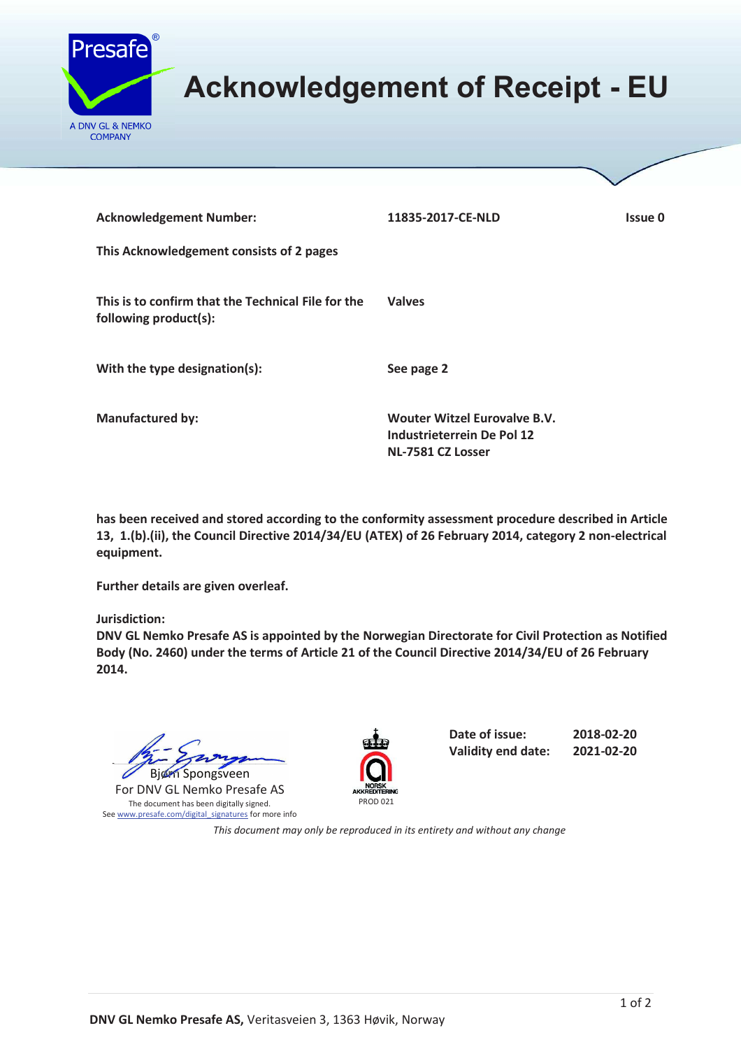

# **Acknowledgement of Receipt - EU**

| <b>Acknowledgement Number:</b>                                              | 11835-2017-CE-NLD                                                                             | Issue 0 |
|-----------------------------------------------------------------------------|-----------------------------------------------------------------------------------------------|---------|
| This Acknowledgement consists of 2 pages                                    |                                                                                               |         |
| This is to confirm that the Technical File for the<br>following product(s): | <b>Valves</b>                                                                                 |         |
| With the type designation(s):                                               | See page 2                                                                                    |         |
| <b>Manufactured by:</b>                                                     | <b>Wouter Witzel Eurovalve B.V.</b><br><b>Industrieterrein De Pol 12</b><br>NL-7581 CZ Losser |         |

**has been received and stored according to the conformity assessment procedure described in Article 13, 1.(b).(ii), the Council Directive 2014/34/EU (ATEX) of 26 February 2014, category 2 non-electrical equipment.** 

**Further details are given overleaf.** 

**Jurisdiction:** 

**DNV GL Nemko Presafe AS is appointed by the Norwegian Directorate for Civil Protection as Notified Body (No. 2460) under the terms of Article 21 of the Council Directive 2014/34/EU of 26 February 2014.** 

 $\mathbb{Z}$ Bjørn Spongsveen Spongsveen $\mathbb{Z}$  barry

For DNV GL Nemko Presafe AS The document has been digitally signed. See www.presafe.com/digital\_signatures for more info



**Date of issue: 2018-02-20 Validity end date: 2021-02-20** 

*This document may only be reproduced in its entirety and without any change*